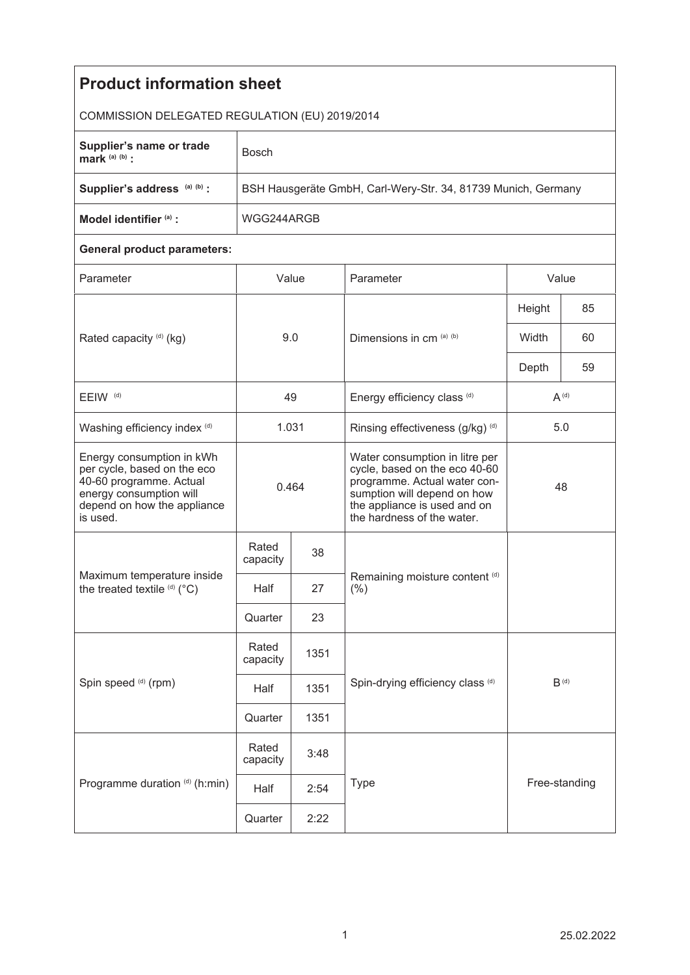| <b>Product information sheet</b>                                                                                                                          |                                                               |              |                                                                                                                                                                                              |           |               |  |  |  |
|-----------------------------------------------------------------------------------------------------------------------------------------------------------|---------------------------------------------------------------|--------------|----------------------------------------------------------------------------------------------------------------------------------------------------------------------------------------------|-----------|---------------|--|--|--|
| COMMISSION DELEGATED REGULATION (EU) 2019/2014                                                                                                            |                                                               |              |                                                                                                                                                                                              |           |               |  |  |  |
| Supplier's name or trade<br>mark $(a)$ $(b)$ :                                                                                                            | <b>Bosch</b>                                                  |              |                                                                                                                                                                                              |           |               |  |  |  |
| Supplier's address (a) (b) :                                                                                                                              | BSH Hausgeräte GmbH, Carl-Wery-Str. 34, 81739 Munich, Germany |              |                                                                                                                                                                                              |           |               |  |  |  |
| Model identifier (a) :                                                                                                                                    | WGG244ARGB                                                    |              |                                                                                                                                                                                              |           |               |  |  |  |
| <b>General product parameters:</b>                                                                                                                        |                                                               |              |                                                                                                                                                                                              |           |               |  |  |  |
| Parameter                                                                                                                                                 | Value                                                         |              | Parameter                                                                                                                                                                                    | Value     |               |  |  |  |
|                                                                                                                                                           | 9.0                                                           |              | Dimensions in cm (a) (b)                                                                                                                                                                     | Height    | 85            |  |  |  |
| Rated capacity (d) (kg)                                                                                                                                   |                                                               |              |                                                                                                                                                                                              | Width     | 60            |  |  |  |
|                                                                                                                                                           |                                                               |              |                                                                                                                                                                                              | Depth     | 59            |  |  |  |
| EEIW <sup>(d)</sup>                                                                                                                                       | 49                                                            |              | Energy efficiency class (d)                                                                                                                                                                  | $A^{(d)}$ |               |  |  |  |
| Washing efficiency index (d)                                                                                                                              | 1.031                                                         |              | Rinsing effectiveness (g/kg) (d)                                                                                                                                                             | 5.0       |               |  |  |  |
| Energy consumption in kWh<br>per cycle, based on the eco<br>40-60 programme. Actual<br>energy consumption will<br>depend on how the appliance<br>is used. | 0.464                                                         |              | Water consumption in litre per<br>cycle, based on the eco 40-60<br>programme. Actual water con-<br>sumption will depend on how<br>the appliance is used and on<br>the hardness of the water. | 48        |               |  |  |  |
| Maximum temperature inside<br>the treated textile (d) (°C)                                                                                                | Rated<br>capacity                                             | 38           |                                                                                                                                                                                              |           |               |  |  |  |
|                                                                                                                                                           | Half                                                          | 27           | Remaining moisture content (d)<br>(% )                                                                                                                                                       |           |               |  |  |  |
|                                                                                                                                                           | Quarter                                                       | 23           |                                                                                                                                                                                              |           |               |  |  |  |
| Spin speed (d) (rpm)                                                                                                                                      | Rated<br>capacity                                             | 1351         | Spin-drying efficiency class (d)<br>$B^{(d)}$                                                                                                                                                |           |               |  |  |  |
|                                                                                                                                                           | Half                                                          | 1351         |                                                                                                                                                                                              |           |               |  |  |  |
|                                                                                                                                                           | Quarter                                                       | 1351         |                                                                                                                                                                                              |           |               |  |  |  |
| Programme duration (d) (h:min)                                                                                                                            | Rated<br>capacity                                             | 3:48         |                                                                                                                                                                                              |           |               |  |  |  |
|                                                                                                                                                           | Half                                                          | Type<br>2:54 |                                                                                                                                                                                              |           | Free-standing |  |  |  |
|                                                                                                                                                           | Quarter                                                       | 2:22         |                                                                                                                                                                                              |           |               |  |  |  |